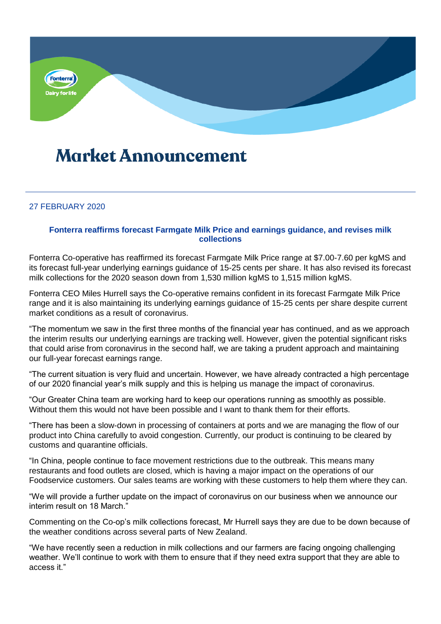

## **Market Announcement**

## 27 FEBRUARY 2020

## **Fonterra reaffirms forecast Farmgate Milk Price and earnings guidance, and revises milk collections**

Fonterra Co-operative has reaffirmed its forecast Farmgate Milk Price range at \$7.00-7.60 per kgMS and its forecast full-year underlying earnings guidance of 15-25 cents per share. It has also revised its forecast milk collections for the 2020 season down from 1,530 million kgMS to 1,515 million kgMS.

Fonterra CEO Miles Hurrell says the Co-operative remains confident in its forecast Farmgate Milk Price range and it is also maintaining its underlying earnings guidance of 15-25 cents per share despite current market conditions as a result of coronavirus.

"The momentum we saw in the first three months of the financial year has continued, and as we approach the interim results our underlying earnings are tracking well. However, given the potential significant risks that could arise from coronavirus in the second half, we are taking a prudent approach and maintaining our full-year forecast earnings range.

"The current situation is very fluid and uncertain. However, we have already contracted a high percentage of our 2020 financial year's milk supply and this is helping us manage the impact of coronavirus.

"Our Greater China team are working hard to keep our operations running as smoothly as possible. Without them this would not have been possible and I want to thank them for their efforts.

"There has been a slow-down in processing of containers at ports and we are managing the flow of our product into China carefully to avoid congestion. Currently, our product is continuing to be cleared by customs and quarantine officials.

"In China, people continue to face movement restrictions due to the outbreak. This means many restaurants and food outlets are closed, which is having a major impact on the operations of our Foodservice customers. Our sales teams are working with these customers to help them where they can.

"We will provide a further update on the impact of coronavirus on our business when we announce our interim result on 18 March."

Commenting on the Co-op's milk collections forecast, Mr Hurrell says they are due to be down because of the weather conditions across several parts of New Zealand.

"We have recently seen a reduction in milk collections and our farmers are facing ongoing challenging weather. We'll continue to work with them to ensure that if they need extra support that they are able to access it."